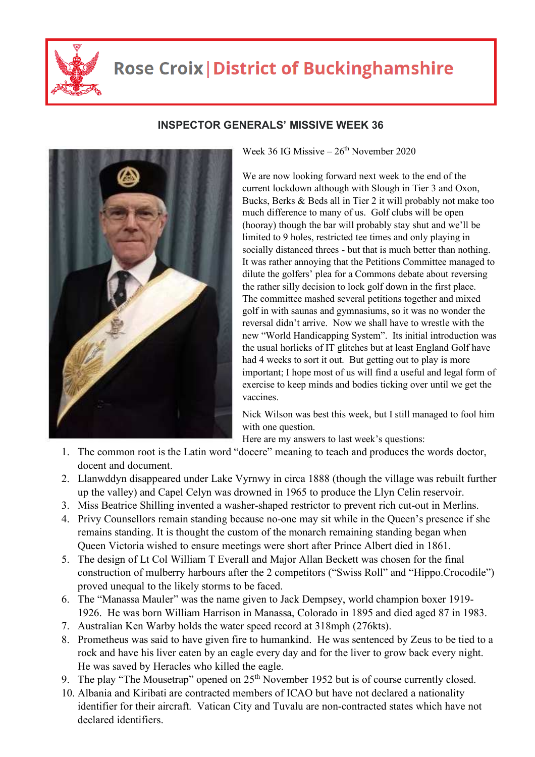

## **Rose Croix | District of Buckinghamshire**



## **INSPECTOR GENERALS' MISSIVE WEEK 36**

Week 36 IG Missive  $-26<sup>th</sup>$  November 2020

We are now looking forward next week to the end of the current lockdown although with Slough in Tier 3 and Oxon, Bucks, Berks & Beds all in Tier 2 it will probably not make too much difference to many of us. Golf clubs will be open (hooray) though the bar will probably stay shut and we'll be limited to 9 holes, restricted tee times and only playing in socially distanced threes - but that is much better than nothing. It was rather annoying that the Petitions Committee managed to dilute the golfers' plea for a Commons debate about reversing the rather silly decision to lock golf down in the first place. The committee mashed several petitions together and mixed golf in with saunas and gymnasiums, so it was no wonder the reversal didn't arrive. Now we shall have to wrestle with the new "World Handicapping System". Its initial introduction was the usual horlicks of IT glitches but at least England Golf have had 4 weeks to sort it out. But getting out to play is more important; I hope most of us will find a useful and legal form of exercise to keep minds and bodies ticking over until we get the vaccines.

Nick Wilson was best this week, but I still managed to fool him with one question.

Here are my answers to last week's questions:

- 1. The common root is the Latin word "docere" meaning to teach and produces the words doctor, docent and document.
- 2. Llanwddyn disappeared under Lake Vyrnwy in circa 1888 (though the village was rebuilt further up the valley) and Capel Celyn was drowned in 1965 to produce the Llyn Celin reservoir.
- 3. Miss Beatrice Shilling invented a washer-shaped restrictor to prevent rich cut-out in Merlins.
- 4. Privy Counsellors remain standing because no-one may sit while in the Queen's presence if she remains standing. It is thought the custom of the monarch remaining standing began when Queen Victoria wished to ensure meetings were short after Prince Albert died in 1861.
- 5. The design of Lt Col William T Everall and Major Allan Beckett was chosen for the final construction of mulberry harbours after the 2 competitors ("Swiss Roll" and "Hippo.Crocodile") proved unequal to the likely storms to be faced.
- 6. The "Manassa Mauler" was the name given to Jack Dempsey, world champion boxer 1919- 1926. He was born William Harrison in Manassa, Colorado in 1895 and died aged 87 in 1983.
- 7. Australian Ken Warby holds the water speed record at 318mph (276kts).
- 8. Prometheus was said to have given fire to humankind. He was sentenced by Zeus to be tied to a rock and have his liver eaten by an eagle every day and for the liver to grow back every night. He was saved by Heracles who killed the eagle.
- 9. The play "The Mousetrap" opened on 25<sup>th</sup> November 1952 but is of course currently closed.
- 10. Albania and Kiribati are contracted members of ICAO but have not declared a nationality identifier for their aircraft. Vatican City and Tuvalu are non-contracted states which have not declared identifiers.